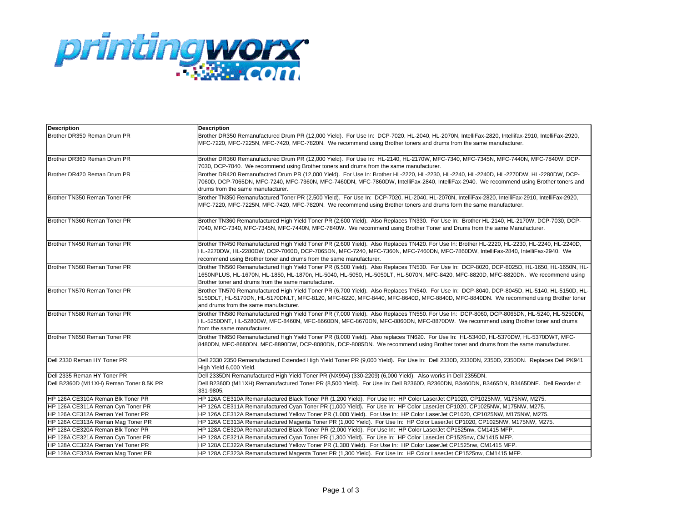

| <b>Description</b>                      | <b>Description</b>                                                                                                                                                                                                                                                                                                                                     |
|-----------------------------------------|--------------------------------------------------------------------------------------------------------------------------------------------------------------------------------------------------------------------------------------------------------------------------------------------------------------------------------------------------------|
| Brother DR350 Reman Drum PR             | Brother DR350 Remanufactured Drum PR (12,000 Yield). For Use In: DCP-7020, HL-2040, HL-2070N, IntelliFax-2820, Intellifax-2910, IntelliFax-2920,<br>MFC-7220, MFC-7225N, MFC-7420, MFC-7820N. We recommend using Brother toners and drums from the same manufacturer.                                                                                  |
| Brother DR360 Reman Drum PR             | Brother DR360 Remanufactured Drum PR (12,000 Yield). For Use In: HL-2140, HL-2170W, MFC-7340, MFC-7345N, MFC-7440N, MFC-7840W, DCP-<br>7030, DCP-7040. We recommend using Brother toners and drums from the same manufacturer.                                                                                                                         |
| Brother DR420 Reman Drum PR             | Brother DR420 Remanufactred Drum PR (12,000 Yield). For Use In: Brother HL-2220, HL-2230, HL-2240, HL-2240D, HL-2270DW, HL-2280DW, DCP-<br>7060D, DCP-7065DN, MFC-7240, MFC-7360N, MFC-7460DN, MFC-7860DW, IntelliFax-2840, IntelliFax-2940. We recommend using Brother toners and<br>drums from the same manufacturer.                                |
| Brother TN350 Reman Toner PR            | Brother TN350 Remanufactured Toner PR (2,500 Yield). For Use In: DCP-7020, HL-2040, HL-2070N, IntelliFax-2820, IntelliFax-2910, IntelliFax-2920,<br>MFC-7220, MFC-7225N, MFC-7420, MFC-7820N. We recommend using Brother toners and drums form the same manufacturer.                                                                                  |
| Brother TN360 Reman Toner PR            | Brother TN360 Remanufactured High Yield Toner PR (2,600 Yield). Also Replaces TN330. For Use In: Brother HL-2140, HL-2170W, DCP-7030, DCP-<br>7040, MFC-7340, MFC-7345N, MFC-7440N, MFC-7840W. We recommend using Brother Toner and Drums from the same Manufacturer.                                                                                  |
| Brother TN450 Reman Toner PR            | Brother TN450 Remanufactured High Yield Toner PR (2,600 Yield). Also Replaces TN420. For Use In: Brother HL-2220, HL-2230, HL-2240, HL-2240D,<br>HL-2270DW, HL-2280DW, DCP-7060D, DCP-7065DN, MFC-7240, MFC-7360N, MFC-7460DN, MFC-7860DW, IntelliFax-2840, IntelliFax-2940. We<br>recommend using Brother toner and drums from the same manufacturer. |
| Brother TN560 Reman Toner PR            | Brother TN560 Remanufactured High Yield Toner PR (6,500 Yield). Also Replaces TN530. For Use In: DCP-8020, DCP-8025D, HL-1650, HL-1650N, HL-<br>1650NPLUS, HL-1670N, HL-1850, HL-1870n, HL-5040, HL-5050, HL-5050LT, HL-5070N, MFC-8420, MFC-8820D, MFC-8820DN. We recommend using<br>Brother toner and drums from the same manufacturer.              |
| Brother TN570 Reman Toner PR            | Brother TN570 Remanufactured High Yield Toner PR (6,700 Yield). Also Replaces TN540. For Use In: DCP-8040, DCP-8045D, HL-5140, HL-5150D, HL-<br>5150DLT, HL-5170DN, HL-5170DNLT, MFC-8120, MFC-8220, MFC-8440, MFC-8640D, MFC-8840D, MFC-8840DN. We recommend using Brother toner<br>and drums from the same manufacturer.                             |
| Brother TN580 Reman Toner PR            | Brother TN580 Remanufactured High Yield Toner PR (7,000 Yield). Also Replaces TN550. For Use In: DCP-8060, DCP-8065DN, HL-5240, HL-5250DN,<br>HL-5250DNT, HL-5280DW, MFC-8460N, MFC-8660DN, MFC-8670DN, MFC-8860DN, MFC-8870DW. We recommend using Brother toner and drums<br>from the same manufacturer.                                              |
| Brother TN650 Reman Toner PR            | Brother TN650 Remanufactured High Yield Toner PR (8,000 Yield). Also replaces TN620. For Use In: HL-5340D, HL-5370DW, HL-5370DWT, MFC-<br>8480DN, MFC-8680DN, MFC-8890DW, DCP-8080DN, DCP-8085DN. We recommend using Brother toner and drums from the same manufacturer.                                                                               |
| Dell 2330 Reman HY Toner PR             | Dell 2330 2350 Remanufactured Extended High Yield Toner PR (9,000 Yield). For Use In: Dell 2330D, 2330DN, 2350D, 2350DN. Replaces Dell PK941<br>High Yield 6,000 Yield.                                                                                                                                                                                |
| Dell 2335 Reman HY Toner PR             | Dell 2335DN Remanufactured High Yield Toner PR (NX994) (330-2209) (6,000 Yield). Also works in Dell 2355DN.                                                                                                                                                                                                                                            |
| Dell B2360D (M11XH) Reman Toner 8.5K PR | Dell B2360D (M11XH) Remanufactured Toner PR (8,500 Yield). For Use In: Dell B2360D, B2360DN, B3460DN, B3465DN, B3465DNF. Dell Reorder #:<br>331-9805.                                                                                                                                                                                                  |
| HP 126A CE310A Reman Blk Toner PR       | HP 126A CE310A Remanufactured Black Toner PR (1,200 Yield). For Use In: HP Color LaserJet CP1020, CP1025NW, M175NW, M275.                                                                                                                                                                                                                              |
| HP 126A CE311A Reman Cyn Toner PR       | HP 126A CE311A Remanufactured Cyan Toner PR (1,000 Yield). For Use In: HP Color LaserJet CP1020, CP1025NW, M175NW, M275.                                                                                                                                                                                                                               |
| HP 126A CE312A Reman Yel Toner PR       | HP 126A CE312A Remanufactured Yellow Toner PR (1,000 Yield). For Use In: HP Color LaserJet CP1020, CP1025NW, M175NW, M275.                                                                                                                                                                                                                             |
| HP 126A CE313A Reman Mag Toner PR       | HP 126A CE313A Remanufactured Magenta Toner PR (1,000 Yield). For Use In: HP Color LaserJet CP1020, CP1025NW, M175NW, M275.                                                                                                                                                                                                                            |
| HP 128A CE320A Reman Blk Toner PR       | HP 128A CE320A Remanufactured Black Toner PR (2,000 Yield). For Use In: HP Color LaserJet CP1525nw, CM1415 MFP.                                                                                                                                                                                                                                        |
| HP 128A CE321A Reman Cyn Toner PR       | HP 128A CE321A Remanufactured Cyan Toner PR (1,300 Yield). For Use In: HP Color LaserJet CP1525nw, CM1415 MFP.                                                                                                                                                                                                                                         |
| HP 128A CE322A Reman Yel Toner PR       | HP 128A CE322A Remanufactured Yellow Toner PR (1,300 Yield). For Use In: HP Color LaserJet CP1525nw, CM1415 MFP.                                                                                                                                                                                                                                       |
| HP 128A CE323A Reman Mag Toner PR       | HP 128A CE323A Remanufactured Magenta Toner PR (1,300 Yield). For Use In: HP Color LaserJet CP1525nw, CM1415 MFP.                                                                                                                                                                                                                                      |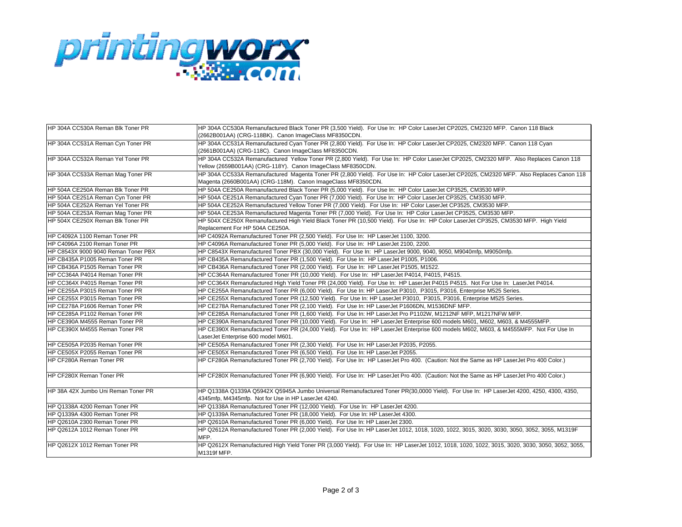

| HP 304A CC530A Reman Blk Toner PR   | HP 304A CC530A Remanufactured Black Toner PR (3,500 Yield). For Use In: HP Color LaserJet CP2025, CM2320 MFP. Canon 118 Black                                  |
|-------------------------------------|----------------------------------------------------------------------------------------------------------------------------------------------------------------|
|                                     | (2662B001AA) (CRG-118BK). Canon ImageClass MF8350CDN.                                                                                                          |
| HP 304A CC531A Reman Cyn Toner PR   | HP 304A CC531A Remanufactured Cyan Toner PR (2,800 Yield). For Use In: HP Color LaserJet CP2025, CM2320 MFP. Canon 118 Cyan                                    |
|                                     | (2661B001AA) (CRG-118C). Canon ImageClass MF8350CDN.                                                                                                           |
| HP 304A CC532A Reman Yel Toner PR   | HP 304A CC532A Remanufactured Yellow Toner PR (2,800 Yield). For Use In: HP Color LaserJet CP2025, CM2320 MFP. Also Replaces Canon 118                         |
|                                     | Yellow (2659B001AA) (CRG-118Y). Canon ImageClass MF8350CDN.                                                                                                    |
| HP 304A CC533A Reman Mag Toner PR   | HP 304A CC533A Remanufactured Magenta Toner PR (2,800 Yield). For Use In: HP Color LaserJet CP2025, CM2320 MFP. Also Replaces Canon 118                        |
|                                     | Magenta (2660B001AA) (CRG-118M). Canon ImageClass MF8350CDN.                                                                                                   |
| HP 504A CE250A Reman Blk Toner PR   | HP 504A CE250A Remanufactured Black Toner PR (5,000 Yield). For Use In: HP Color LaserJet CP3525, CM3530 MFP.                                                  |
| HP 504A CE251A Reman Cyn Toner PR   | HP 504A CE251A Remanufactured Cyan Toner PR (7,000 Yield). For Use In: HP Color LaserJet CP3525, CM3530 MFP.                                                   |
| HP 504A CE252A Reman Yel Toner PR   | HP 504A CE252A Remanufactured Yellow Toner PR (7,000 Yield). For Use In: HP Color LaserJet CP3525, CM3530 MFP.                                                 |
| HP 504A CE253A Reman Mag Toner PR   | HP 504A CE253A Remanufactured Magenta Toner PR (7,000 Yield). For Use In: HP Color LaserJet CP3525, CM3530 MFP.                                                |
| HP 504X CE250X Reman Blk Toner PR   | HP 504X CE250X Remanufactured High Yield Black Toner PR (10,500 Yield). For Use In: HP Color LaserJet CP3525, CM3530 MFP. High Yield                           |
|                                     | Replacement For HP 504A CE250A.                                                                                                                                |
| HP C4092A 1100 Reman Toner PR       | HP C4092A Remanufactured Toner PR (2,500 Yield). For Use In: HP LaserJet 1100, 3200.                                                                           |
| HP C4096A 2100 Reman Toner PR       | HP C4096A Remanufactured Toner PR (5,000 Yield). For Use In: HP LaserJet 2100, 2200.                                                                           |
| HP C8543X 9000 9040 Reman Toner PBX | HP C8543X Remanufactured Toner PBX (30,000 Yield). For Use In: HP LaserJet 9000, 9040, 9050, M9040mfp, M9050mfp.                                               |
| HP CB435A P1005 Reman Toner PR      | HP CB435A Remanufactured Toner PR (1,500 Yield). For Use In: HP LaserJet P1005, P1006.                                                                         |
| HP CB436A P1505 Reman Toner PR      | HP CB436A Remanufactured Toner PR (2,000 Yield). For Use In: HP LaserJet P1505, M1522.                                                                         |
| HP CC364A P4014 Reman Toner PR      | HP CC364A Remanufactured Toner PR (10,000 Yield). For Use In: HP LaserJet P4014, P4015, P4515.                                                                 |
| HP CC364X P4015 Reman Toner PR      | HP CC364X Remanufactured High Yield Toner PR (24,000 Yield). For Use In: HP LaserJet P4015 P4515. Not For Use In: LaserJet P4014.                              |
| HP CE255A P3015 Reman Toner PR      | HP CE255A Remanufactured Toner PR (6,000 Yield). For Use In: HP LaserJet P3010, P3015, P3016, Enterprise M525 Series.                                          |
| HP CE255X P3015 Reman Toner PR      | HP CE255X Remanufactured Toner PR (12,500 Yield). For Use In: HP LaserJet P3010, P3015, P3016, Enterprise M525 Series.                                         |
| HP CE278A P1606 Reman Toner PR      | HP CE278A Remanufactured Toner PR (2,100 Yield). For Use In: HP LaserJet P1606DN, M1536DNF MFP.                                                                |
| HP CE285A P1102 Reman Toner PR      | HP CE285A Remanufactured Toner PR (1,600 Yield). For Use In: HP LaserJet Pro P1102W, M1212NF MFP, M1217NFW MFP.                                                |
| HP CE390A M4555 Reman Toner PR      | HP CE390A Remanufactured Toner PR (10,000 Yield). For Use In: HP LaserJet Enterprise 600 models M601, M602, M603, & M4555MFP.                                  |
| HP CE390X M4555 Reman Toner PR      | HP CE390X Remanufactured Toner PR (24,000 Yield). For Use In: HP LaserJet Enterprise 600 models M602, M603, & M4555MFP. Not For Use In                         |
|                                     | LaserJet Enterprise 600 model M601.                                                                                                                            |
| HP CE505A P2035 Reman Toner PR      | HP CE505A Remanufactured Toner PR (2,300 Yield). For Use In: HP LaserJet P2035, P2055.                                                                         |
| HP CE505X P2055 Reman Toner PR      | HP CE505X Remanufactured Toner PR (6,500 Yield). For Use In: HP LaserJet P2055.                                                                                |
| HP CF280A Reman Toner PR            | HP CF280A Remanufactured Toner PR (2,700 Yield). For Use In: HP LaserJet Pro 400. (Caution: Not the Same as HP LaserJet Pro 400 Color.)                        |
| HP CF280X Reman Toner PR            | HP CF280X Remanufactured Toner PR (6,900 Yield). For Use In: HP LaserJet Pro 400. (Caution: Not the Same as HP LaserJet Pro 400 Color.)                        |
| HP 38A 42X Jumbo Uni Reman Toner PR | HP Q1338A Q1339A Q5942X Q5945A Jumbo Universal Remanufactured Toner PR(30,0000 Yield). For Use In: HP LaserJet 4200, 4250, 4300, 4350,                         |
|                                     | 4345mfp, M4345mfp. Not for Use in HP LaserJet 4240.                                                                                                            |
| HP Q1338A 4200 Reman Toner PR       | HP Q1338A Remanufactured Toner PR (12,000 Yield). For Use In: HP LaserJet 4200.                                                                                |
| HP Q1339A 4300 Reman Toner PR       | HP Q1339A Remanufactured Toner PR (18,000 Yield). For Use In: HP LaserJet 4300.                                                                                |
| HP Q2610A 2300 Reman Toner PR       | HP Q2610A Remanufactured Toner PR (6,000 Yield). For Use In: HP LaserJet 2300.                                                                                 |
| HP Q2612A 1012 Reman Toner PR       | HP Q2612A Remanufactured Toner PR (2,000 Yield). For Use In: HP LaserJet 1012, 1018, 1020, 1022, 3015, 3020, 3030, 3050, 3052, 3055, M1319F                    |
|                                     | MFP.                                                                                                                                                           |
| HP Q2612X 1012 Reman Toner PR       | HP Q2612X Remanufactured High Yield Toner PR (3,000 Yield). For Use In: HP LaserJet 1012, 1018, 1020, 1022, 3015, 3020, 3030, 3050, 3052, 3055,<br>M1319f MFP. |